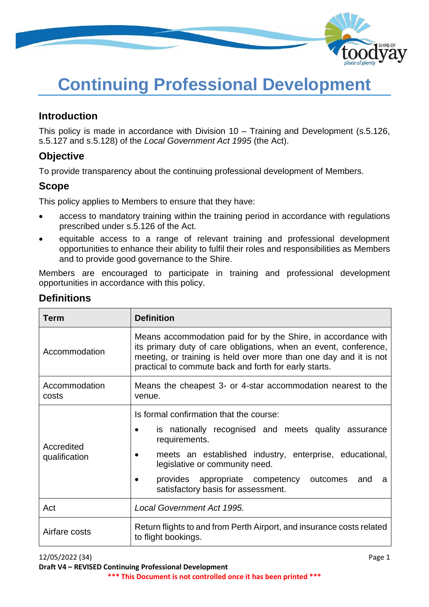

# **Continuing Professional Development**

# **Introduction**

This policy is made in accordance with Division 10 – Training and Development (s.5.126, s.5.127 and s.5.128) of the *Local Government Act 1995* (the Act).

# **Objective**

To provide transparency about the continuing professional development of Members.

# **Scope**

This policy applies to Members to ensure that they have:

- access to mandatory training within the training period in accordance with regulations prescribed under s.5.126 of the Act.
- equitable access to a range of relevant training and professional development opportunities to enhance their ability to fulfil their roles and responsibilities as Members and to provide good governance to the Shire.

Members are encouraged to participate in training and professional development opportunities in accordance with this policy.

| <b>Term</b>                 | <b>Definition</b>                                                                                                                                                                                                                                                                                                                     |  |
|-----------------------------|---------------------------------------------------------------------------------------------------------------------------------------------------------------------------------------------------------------------------------------------------------------------------------------------------------------------------------------|--|
| Accommodation               | Means accommodation paid for by the Shire, in accordance with<br>its primary duty of care obligations, when an event, conference,<br>meeting, or training is held over more than one day and it is not<br>practical to commute back and forth for early starts.                                                                       |  |
| Accommodation<br>costs      | Means the cheapest 3- or 4-star accommodation nearest to the<br>venue.                                                                                                                                                                                                                                                                |  |
| Accredited<br>qualification | Is formal confirmation that the course:<br>is nationally recognised and meets quality assurance<br>$\bullet$<br>requirements.<br>meets an established industry, enterprise, educational,<br>legislative or community need.<br>provides appropriate competency outcomes<br>and<br>a<br>$\bullet$<br>satisfactory basis for assessment. |  |
| Act                         | <b>Local Government Act 1995.</b>                                                                                                                                                                                                                                                                                                     |  |
| Airfare costs               | Return flights to and from Perth Airport, and insurance costs related<br>to flight bookings.                                                                                                                                                                                                                                          |  |

# **Definitions**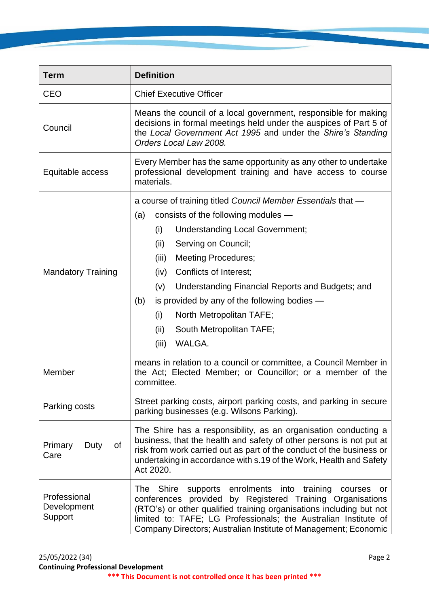| <b>Term</b>                            | <b>Definition</b>                                                                                                                                                                                                                                                                                                                                                                                                                                                                 |  |
|----------------------------------------|-----------------------------------------------------------------------------------------------------------------------------------------------------------------------------------------------------------------------------------------------------------------------------------------------------------------------------------------------------------------------------------------------------------------------------------------------------------------------------------|--|
| <b>CEO</b>                             | <b>Chief Executive Officer</b>                                                                                                                                                                                                                                                                                                                                                                                                                                                    |  |
| Council                                | Means the council of a local government, responsible for making<br>decisions in formal meetings held under the auspices of Part 5 of<br>the Local Government Act 1995 and under the Shire's Standing<br>Orders Local Law 2008.                                                                                                                                                                                                                                                    |  |
| Equitable access                       | Every Member has the same opportunity as any other to undertake<br>professional development training and have access to course<br>materials.                                                                                                                                                                                                                                                                                                                                      |  |
| <b>Mandatory Training</b>              | a course of training titled Council Member Essentials that -<br>consists of the following modules -<br>(a)<br><b>Understanding Local Government;</b><br>(i)<br>Serving on Council;<br>(ii)<br><b>Meeting Procedures;</b><br>(iii)<br>Conflicts of Interest;<br>(iv)<br>Understanding Financial Reports and Budgets; and<br>(v)<br>is provided by any of the following bodies $-$<br>(b)<br>(i)<br>North Metropolitan TAFE;<br>(ii)<br>South Metropolitan TAFE;<br>WALGA.<br>(iii) |  |
| Member                                 | means in relation to a council or committee, a Council Member in<br>the Act; Elected Member; or Councillor; or a member of the<br>committee.                                                                                                                                                                                                                                                                                                                                      |  |
| Parking costs                          | Street parking costs, airport parking costs, and parking in secure<br>parking businesses (e.g. Wilsons Parking).                                                                                                                                                                                                                                                                                                                                                                  |  |
| Primary<br>Duty<br>0f<br>Care          | The Shire has a responsibility, as an organisation conducting a<br>business, that the health and safety of other persons is not put at<br>risk from work carried out as part of the conduct of the business or<br>undertaking in accordance with s.19 of the Work, Health and Safety<br>Act 2020.                                                                                                                                                                                 |  |
| Professional<br>Development<br>Support | enrolments into<br>training<br>The Shire<br>supports<br>courses<br>or<br>conferences provided by Registered Training Organisations<br>(RTO's) or other qualified training organisations including but not<br>limited to: TAFE; LG Professionals; the Australian Institute of<br>Company Directors; Australian Institute of Management; Economic                                                                                                                                   |  |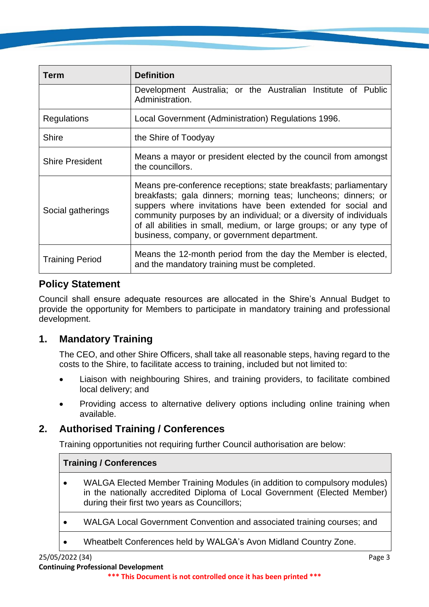| Term                   | <b>Definition</b>                                                                                                                                                                                                                                                                                                                                                                             |  |
|------------------------|-----------------------------------------------------------------------------------------------------------------------------------------------------------------------------------------------------------------------------------------------------------------------------------------------------------------------------------------------------------------------------------------------|--|
|                        | Development Australia; or the Australian Institute of Public<br>Administration.                                                                                                                                                                                                                                                                                                               |  |
| Regulations            | Local Government (Administration) Regulations 1996.                                                                                                                                                                                                                                                                                                                                           |  |
| Shire                  | the Shire of Toodyay                                                                                                                                                                                                                                                                                                                                                                          |  |
| <b>Shire President</b> | Means a mayor or president elected by the council from amongst<br>the councillors.                                                                                                                                                                                                                                                                                                            |  |
| Social gatherings      | Means pre-conference receptions; state breakfasts; parliamentary<br>breakfasts; gala dinners; morning teas; luncheons; dinners; or<br>suppers where invitations have been extended for social and<br>community purposes by an individual; or a diversity of individuals<br>of all abilities in small, medium, or large groups; or any type of<br>business, company, or government department. |  |
| <b>Training Period</b> | Means the 12-month period from the day the Member is elected,<br>and the mandatory training must be completed.                                                                                                                                                                                                                                                                                |  |

# **Policy Statement**

Council shall ensure adequate resources are allocated in the Shire's Annual Budget to provide the opportunity for Members to participate in mandatory training and professional development.

# **1. Mandatory Training**

The CEO, and other Shire Officers, shall take all reasonable steps, having regard to the costs to the Shire, to facilitate access to training, included but not limited to:

- Liaison with neighbouring Shires, and training providers, to facilitate combined local delivery; and
- Providing access to alternative delivery options including online training when available.

# **2. Authorised Training / Conferences**

Training opportunities not requiring further Council authorisation are below:

#### **Training / Conferences**

- WALGA Elected Member Training Modules (in addition to compulsory modules) in the nationally accredited Diploma of Local Government (Elected Member) during their first two years as Councillors;
- WALGA Local Government Convention and associated training courses; and
- Wheatbelt Conferences held by WALGA's Avon Midland Country Zone.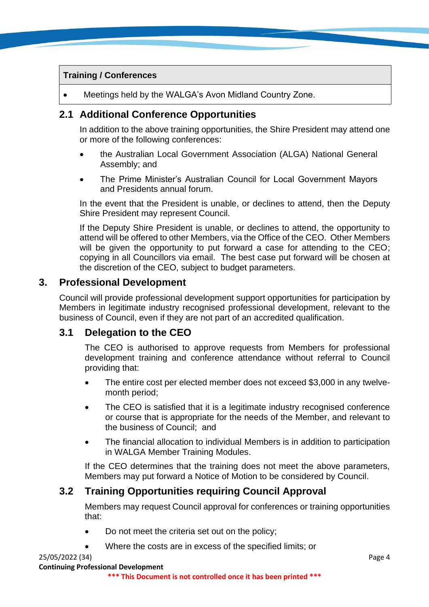#### **Training / Conferences**

• Meetings held by the WALGA's Avon Midland Country Zone.

#### **2.1 Additional Conference Opportunities**

In addition to the above training opportunities, the Shire President may attend one or more of the following conferences:

- the Australian Local Government Association (ALGA) National General Assembly; and
- The Prime Minister's Australian Council for Local Government Mayors and Presidents annual forum.

In the event that the President is unable, or declines to attend, then the Deputy Shire President may represent Council.

If the Deputy Shire President is unable, or declines to attend, the opportunity to attend will be offered to other Members, via the Office of the CEO. Other Members will be given the opportunity to put forward a case for attending to the CEO; copying in all Councillors via email. The best case put forward will be chosen at the discretion of the CEO, subject to budget parameters.

#### **3. Professional Development**

Council will provide professional development support opportunities for participation by Members in legitimate industry recognised professional development, relevant to the business of Council, even if they are not part of an accredited qualification.

#### **3.1 Delegation to the CEO**

The CEO is authorised to approve requests from Members for professional development training and conference attendance without referral to Council providing that:

- The entire cost per elected member does not exceed \$3,000 in any twelvemonth period;
- The CEO is satisfied that it is a legitimate industry recognised conference or course that is appropriate for the needs of the Member, and relevant to the business of Council; and
- The financial allocation to individual Members is in addition to participation in WALGA Member Training Modules.

If the CEO determines that the training does not meet the above parameters, Members may put forward a Notice of Motion to be considered by Council.

#### **3.2 Training Opportunities requiring Council Approval**

Members may request Council approval for conferences or training opportunities that:

- Do not meet the criteria set out on the policy;
- Where the costs are in excess of the specified limits; or

#### 25/05/2022 (34) Page 4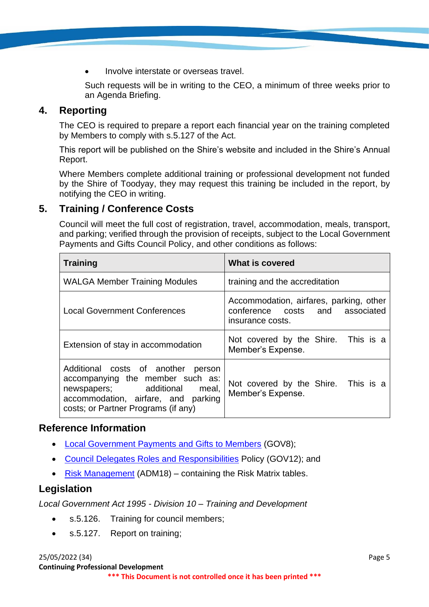• Involve interstate or overseas travel.

Such requests will be in writing to the CEO, a minimum of three weeks prior to an Agenda Briefing.

### **4. Reporting**

The CEO is required to prepare a report each financial year on the training completed by Members to comply with s.5.127 of the Act.

This report will be published on the Shire's website and included in the Shire's Annual Report.

Where Members complete additional training or professional development not funded by the Shire of Toodyay, they may request this training be included in the report, by notifying the CEO in writing.

# **5. Training / Conference Costs**

Council will meet the full cost of registration, travel, accommodation, meals, transport, and parking; verified through the provision of receipts, subject to the Local Government Payments and Gifts Council Policy, and other conditions as follows:

| <b>Training</b>                                                                                                                                                                            | What is covered                                                                                |  |  |
|--------------------------------------------------------------------------------------------------------------------------------------------------------------------------------------------|------------------------------------------------------------------------------------------------|--|--|
| <b>WALGA Member Training Modules</b>                                                                                                                                                       | training and the accreditation                                                                 |  |  |
| <b>Local Government Conferences</b>                                                                                                                                                        | Accommodation, airfares, parking, other<br>conference costs and associated<br>insurance costs. |  |  |
| Extension of stay in accommodation                                                                                                                                                         | Not covered by the Shire. This is a<br>Member's Expense.                                       |  |  |
| Additional costs of another<br>person<br>accompanying the member such as:<br>newspapers; additional<br>meal,<br>accommodation, airfare, and parking<br>costs; or Partner Programs (if any) | Not covered by the Shire. This is a<br>Member's Expense.                                       |  |  |

#### **Reference Information**

- [Local Government Payments and Gifts to Members](https://www.toodyay.wa.gov.au/documents/327/local-government-payments-and-gifts-to-members) (GOV8);
- [Council Delegates Roles and Responsibilities](https://www.toodyay.wa.gov.au/documents/323/council-delegates-roles-and-responsibilities) Policy (GOV12); and
- [Risk Management](https://www.toodyay.wa.gov.au/documents/110/risk-management) (ADM18) containing the Risk Matrix tables.

# **Legislation**

*Local Government Act 1995 - Division 10 – Training and Development*

- s.5.126. Training for council members;
- s.5.127. Report on training;

25/05/2022 (34) Page 5 **Continuing Professional Development**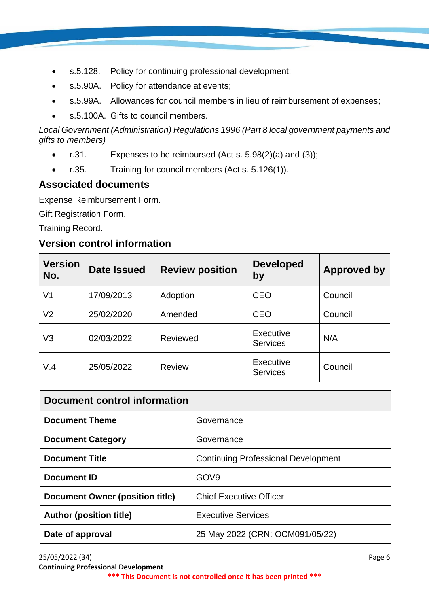- s.5.128. Policy for continuing professional development;
- s.5.90A. Policy for attendance at events;
- s.5.99A. Allowances for council members in lieu of reimbursement of expenses;
- s.5.100A. Gifts to council members.

*Local Government (Administration) Regulations 1996 (Part 8 local government payments and gifts to members)*

- $r.31.$  Expenses to be reimbursed (Act s. 5.98(2)(a) and (3));
- r.35. Training for council members (Act s. 5.126(1)).

# **Associated documents**

Expense Reimbursement Form.

Gift Registration Form.

Training Record.

# **Version control information**

| <b>Version</b><br>No. | <b>Date Issued</b> | <b>Review position</b> | <b>Developed</b><br>by              | <b>Approved by</b> |
|-----------------------|--------------------|------------------------|-------------------------------------|--------------------|
| V1                    | 17/09/2013         | Adoption               | <b>CEO</b>                          | Council            |
| V2                    | 25/02/2020         | Amended                | <b>CEO</b>                          | Council            |
| V3                    | 02/03/2022         | Reviewed               | <b>Executive</b><br><b>Services</b> | N/A                |
| V.4                   | 25/05/2022         | <b>Review</b>          | <b>Executive</b><br><b>Services</b> | Council            |

| Document control information    |                                            |  |
|---------------------------------|--------------------------------------------|--|
| <b>Document Theme</b>           | Governance                                 |  |
| <b>Document Category</b>        | Governance                                 |  |
| <b>Document Title</b>           | <b>Continuing Professional Development</b> |  |
| <b>Document ID</b>              | GOV <sub>9</sub>                           |  |
| Document Owner (position title) | <b>Chief Executive Officer</b>             |  |
| <b>Author (position title)</b>  | <b>Executive Services</b>                  |  |
| Date of approval                | 25 May 2022 (CRN: OCM091/05/22)            |  |

25/05/2022 (34) Page 6 **Continuing Professional Development \*\*\* This Document is not controlled once it has been printed \*\*\***